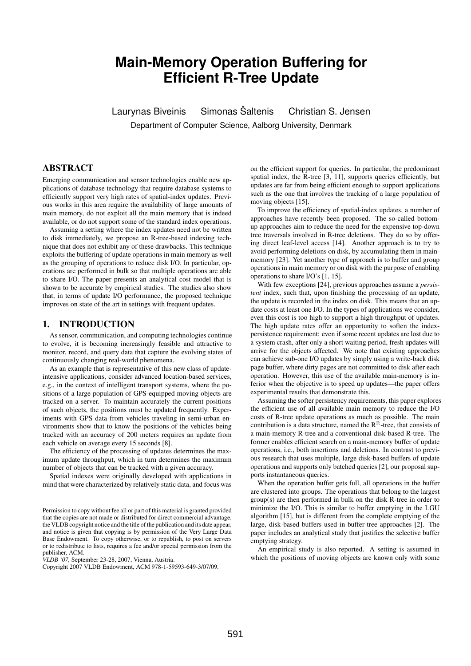# **Main-Memory Operation Buffering for Efficient R-Tree Update**

Laurynas Biveinis Simonas Šaltenis Christian S. Jensen Department of Computer Science, Aalborg University, Denmark

# ABSTRACT

Emerging communication and sensor technologies enable new applications of database technology that require database systems to efficiently support very high rates of spatial-index updates. Previous works in this area require the availability of large amounts of main memory, do not exploit all the main memory that is indeed available, or do not support some of the standard index operations.

Assuming a setting where the index updates need not be written to disk immediately, we propose an R-tree-based indexing technique that does not exhibit any of these drawbacks. This technique exploits the buffering of update operations in main memory as well as the grouping of operations to reduce disk I/O. In particular, operations are performed in bulk so that multiple operations are able to share I/O. The paper presents an analytical cost model that is shown to be accurate by empirical studies. The studies also show that, in terms of update I/O performance, the proposed technique improves on state of the art in settings with frequent updates.

# 1. INTRODUCTION

As sensor, communication, and computing technologies continue to evolve, it is becoming increasingly feasible and attractive to monitor, record, and query data that capture the evolving states of continuously changing real-world phenomena.

As an example that is representative of this new class of updateintensive applications, consider advanced location-based services, e.g., in the context of intelligent transport systems, where the positions of a large population of GPS-equipped moving objects are tracked on a server. To maintain accurately the current positions of such objects, the positions must be updated frequently. Experiments with GPS data from vehicles traveling in semi-urban environments show that to know the positions of the vehicles being tracked with an accuracy of 200 meters requires an update from each vehicle on average every 15 seconds [8].

The efficiency of the processing of updates determines the maximum update throughput, which in turn determines the maximum number of objects that can be tracked with a given accuracy.

Spatial indexes were originally developed with applications in mind that were characterized by relatively static data, and focus was

*VLDB '07,* September 23-28, 2007, Vienna, Austria.

on the efficient support for queries. In particular, the predominant spatial index, the R-tree [3, 11], supports queries efficiently, but updates are far from being efficient enough to support applications such as the one that involves the tracking of a large population of moving objects [15].

To improve the efficiency of spatial-index updates, a number of approaches have recently been proposed. The so-called bottomup approaches aim to reduce the need for the expensive top-down tree traversals involved in R-tree deletions. They do so by offering direct leaf-level access [14]. Another approach is to try to avoid performing deletions on disk, by accumulating them in mainmemory [23]. Yet another type of approach is to buffer and group operations in main memory or on disk with the purpose of enabling operations to share I/O's [1, 15].

With few exceptions [24], previous approaches assume a *persistent* index, such that, upon finishing the processing of an update, the update is recorded in the index on disk. This means that an update costs at least one I/O. In the types of applications we consider, even this cost is too high to support a high throughput of updates. The high update rates offer an opportunity to soften the indexpersistence requirement: even if some recent updates are lost due to a system crash, after only a short waiting period, fresh updates will arrive for the objects affected. We note that existing approaches can achieve sub-one I/O updates by simply using a write-back disk page buffer, where dirty pages are not committed to disk after each operation. However, this use of the available main-memory is inferior when the objective is to speed up updates—the paper offers experimental results that demonstrate this.

Assuming the softer persistency requirements, this paper explores the efficient use of all available main memory to reduce the I/O costs of R-tree update operations as much as possible. The main contribution is a data structure, named the  $R^R$ -tree, that consists of a main-memory R-tree and a conventional disk-based R-tree. The former enables efficient search on a main-memory buffer of update operations, i.e., both insertions and deletions. In contrast to previous research that uses multiple, large disk-based buffers of update operations and supports only batched queries [2], our proposal supports instantaneous queries.

When the operation buffer gets full, all operations in the buffer are clustered into groups. The operations that belong to the largest group(s) are then performed in bulk on the disk R-tree in order to minimize the I/O. This is similar to buffer emptying in the LGU algorithm [15], but is different from the complete emptying of the large, disk-based buffers used in buffer-tree approaches [2]. The paper includes an analytical study that justifies the selective buffer emptying strategy.

An empirical study is also reported. A setting is assumed in which the positions of moving objects are known only with some

Permission to copy without fee all or part of this material is granted provided that the copies are not made or distributed for direct commercial advantage, the VLDB copyright notice and the title of the publication and its date appear, and notice is given that copying is by permission of the Very Large Data Base Endowment. To copy otherwise, or to republish, to post on servers or to redistribute to lists, requires a fee and/or special permission from the publisher, ACM.

Copyright 2007 VLDB Endowment, ACM 978-1-59593-649-3/07/09.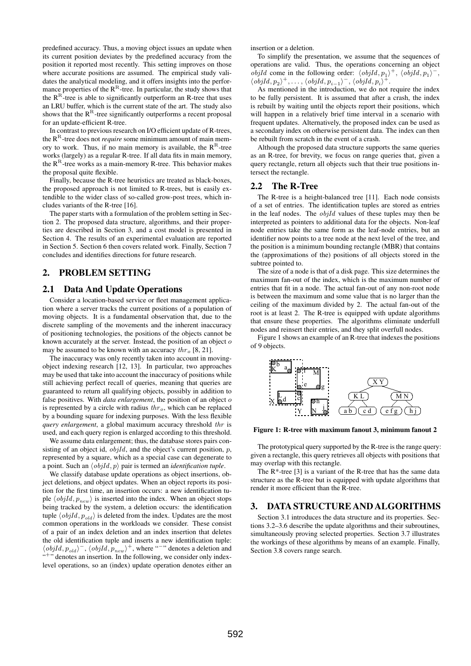predefined accuracy. Thus, a moving object issues an update when its current position deviates by the predefined accuracy from the position it reported most recently. This setting improves on those where accurate positions are assumed. The empirical study validates the analytical modeling, and it offers insights into the performance properties of the  $R^R$ -tree. In particular, the study shows that the  $R<sup>R</sup>$ -tree is able to significantly outperform an R-tree that uses an LRU buffer, which is the current state of the art. The study also shows that the  $R<sup>R</sup>$ -tree significantly outperforms a recent proposal for an update-efficient R-tree.

In contrast to previous research on I/O efficient update of R-trees, the  $R<sup>R</sup>$ -tree does not *require* some minimum amount of main memory to work. Thus, if no main memory is available, the  $\mathbb{R}^{\mathbb{R}}$ -tree works (largely) as a regular R-tree. If all data fits in main memory, the  $R^R$ -tree works as a main-memory R-tree. This behavior makes the proposal quite flexible.

Finally, because the R-tree heuristics are treated as black-boxes, the proposed approach is not limited to R-trees, but is easily extendible to the wider class of so-called grow-post trees, which includes variants of the R-tree [16].

The paper starts with a formulation of the problem setting in Section 2. The proposed data structure, algorithms, and their properties are described in Section 3, and a cost model is presented in Section 4. The results of an experimental evaluation are reported in Section 5. Section 6 then covers related work. Finally, Section 7 concludes and identifies directions for future research.

# 2. PROBLEM SETTING

# 2.1 Data And Update Operations

Consider a location-based service or fleet management application where a server tracks the current positions of a population of moving objects. It is a fundamental observation that, due to the discrete sampling of the movements and the inherent inaccuracy of positioning technologies, the positions of the objects cannot be known accurately at the server. Instead, the position of an object of may be assumed to be known with an accuracy  $thr_{o}$  [8, 21].

The inaccuracy was only recently taken into account in movingobject indexing research [12, 13]. In particular, two approaches may be used that take into account the inaccuracy of positions while still achieving perfect recall of queries, meaning that queries are guaranteed to return all qualifying objects, possibly in addition to false positives. With *data enlargement*, the position of an object o is represented by a circle with radius  $thr_o$ , which can be replaced by a bounding square for indexing purposes. With the less flexible *query enlargement*, a global maximum accuracy threshold thr is used, and each query region is enlarged according to this threshold.

We assume data enlargement; thus, the database stores pairs consisting of an object id,  $objId$ , and the object's current position,  $p$ , represented by a square, which as a special case can degenerate to a point. Such an  $\langle objId, p \rangle$  pair is termed an *identification tuple*.

We classify database update operations as object insertions, object deletions, and object updates. When an object reports its position for the first time, an insertion occurs: a new identification tuple  $\langle objId, p_{new} \rangle$  is inserted into the index. When an object stops being tracked by the system, a deletion occurs: the identification tuple  $\langle \text{objId}, p_{\text{old}} \rangle$  is deleted from the index. Updates are the most common operations in the workloads we consider. These consist of a pair of an index deletion and an index insertion that deletes the old identification tuple and inserts a new identification tuple:  $\langle \text{objId}, p_{\text{old}} \rangle$ <sup>-</sup>,  $\langle \text{objId}, p_{\text{new}} \rangle$ <sup>+</sup>, where "<sup>--</sup>" denotes a deletion and "<sup>+</sup>" denotes an insertion. In the following, we consider only indexlevel operations, so an (index) update operation denotes either an

insertion or a deletion.

To simplify the presentation, we assume that the sequences of operations are valid. Thus, the operations concerning an object *objId* come in the following order:  $\langle \text{objId}, p_1 \rangle^+$ ,  $\langle \text{objId}, p_1 \rangle^-$ ,  $\langle \textit{objId}, p_2 \rangle^+, \ldots, \langle \textit{objId}, p_{i-1} \rangle^-, \langle \textit{objId}, p_i \rangle^+.$ 

As mentioned in the introduction, we do not require the index to be fully persistent. It is assumed that after a crash, the index is rebuilt by waiting until the objects report their positions, which will happen in a relatively brief time interval in a scenario with frequent updates. Alternatively, the proposed index can be used as a secondary index on otherwise persistent data. The index can then be rebuilt from scratch in the event of a crash.

Although the proposed data structure supports the same queries as an R-tree, for brevity, we focus on range queries that, given a query rectangle, return all objects such that their true positions intersect the rectangle.

## 2.2 The R-Tree

The R-tree is a height-balanced tree [11]. Each node consists of a set of entries. The identification tuples are stored as entries in the leaf nodes. The objId values of these tuples may then be interpreted as pointers to additional data for the objects. Non-leaf node entries take the same form as the leaf-node entries, but an identifier now points to a tree node at the next level of the tree, and the position is a minimum bounding rectangle (MBR) that contains the (approximations of the) positions of all objects stored in the subtree pointed to.

The size of a node is that of a disk page. This size determines the maximum fan-out of the index, which is the maximum number of entries that fit in a node. The actual fan-out of any non-root node is between the maximum and some value that is no larger than the ceiling of the maximum divided by 2. The actual fan-out of the root is at least 2. The R-tree is equipped with update algorithms that ensure these properties. The algorithms eliminate underfull nodes and reinsert their entries, and they split overfull nodes.

Figure 1 shows an example of an R-tree that indexes the positions of 9 objects.



Figure 1: R-tree with maximum fanout 3, minimum fanout 2

The prototypical query supported by the R-tree is the range query: given a rectangle, this query retrieves all objects with positions that may overlap with this rectangle.

The  $R^*$ -tree [3] is a variant of the R-tree that has the same data structure as the R-tree but is equipped with update algorithms that render it more efficient than the R-tree.

# 3. DATA STRUCTURE AND ALGORITHMS

Section 3.1 introduces the data structure and its properties. Sections 3.2–3.6 describe the update algorithms and their subroutines, simultaneously proving selected properties. Section 3.7 illustrates the workings of these algorithms by means of an example. Finally, Section 3.8 covers range search.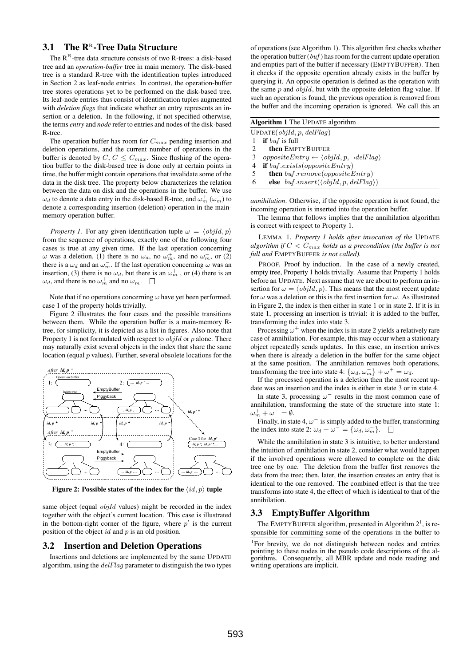# 3.1 The  $\mathbb{R}^n$ -Tree Data Structure

The  $R^R$ -tree data structure consists of two R-trees: a disk-based tree and an *operation-buffer* tree in main memory. The disk-based tree is a standard R-tree with the identification tuples introduced in Section 2 as leaf-node entries. In contrast, the operation-buffer tree stores operations yet to be performed on the disk-based tree. Its leaf-node entries thus consist of identification tuples augmented with *deletion flags* that indicate whether an entry represents an insertion or a deletion. In the following, if not specified otherwise, the terms *entry* and *node* refer to entries and nodes of the disk-based R-tree.

The operation buffer has room for  $C_{max}$  pending insertion and deletion operations, and the current number of operations in the buffer is denoted by  $C, C \leq C_{max}$ . Since flushing of the operation buffer to the disk-based tree is done only at certain points in time, the buffer might contain operations that invalidate some of the data in the disk tree. The property below characterizes the relation between the data on disk and the operations in the buffer. We use  $\omega_d$  to denote a data entry in the disk-based R-tree, and  $\omega_m^+$  ( $\omega_m^-$ ) to denote a corresponding insertion (deletion) operation in the mainmemory operation buffer.

*Property 1.* For any given identification tuple  $\omega = \langle objId, p \rangle$ from the sequence of operations, exactly one of the following four cases is true at any given time. If the last operation concerning  $\omega$  was a deletion, (1) there is no  $\omega_d$ , no  $\omega_m^+$ , and no  $\omega_m^-$ , or (2) there is a  $\omega_d$  and an  $\omega_m^-$ . If the last operation concerning  $\omega$  was an insertion, (3) there is no  $\omega_d$ , but there is an  $\omega_m^+$ , or (4) there is an  $\omega_d$ , and there is no  $\omega_m^+$  and no  $\omega_m^-$ .

Note that if no operations concerning  $\omega$  have yet been performed, case 1 of the property holds trivially.

Figure 2 illustrates the four cases and the possible transitions between them. While the operation buffer is a main-memory Rtree, for simplicity, it is depicted as a list in figures. Also note that Property 1 is not formulated with respect to  $objId$  or p alone. There may naturally exist several objects in the index that share the same location (equal  $p$  values). Further, several obsolete locations for the



Figure 2: Possible states of the index for the  $\langle id, p \rangle$  tuple

same object (equal *objId* values) might be recorded in the index together with the object's current location. This case is illustrated in the bottom-right corner of the figure, where  $p'$  is the current position of the object  $id$  and  $p$  is an old position.

#### 3.2 Insertion and Deletion Operations

Insertions and deletions are implemented by the same UPDATE algorithm, using the  $delFlag$  parameter to distinguish the two types

of operations (see Algorithm 1). This algorithm first checks whether the operation buffer  $(buf)$  has room for the current update operation and empties part of the buffer if necessary (EMPTYBUFFER). Then it checks if the opposite operation already exists in the buffer by querying it. An opposite operation is defined as the operation with the same  $p$  and  $objId$ , but with the opposite deletion flag value. If such an operation is found, the previous operation is removed from the buffer and the incoming operation is ignored. We call this an

| <b>Algorithm 1</b> The UPDATE algorithm                           |
|-------------------------------------------------------------------|
| UPDATE(objId, p, dellFlag)                                        |
| <b>if</b> but is full                                             |
| then EMPTYBUFFER                                                  |
| $oppositeEntry \leftarrow \langle objId, p, \neg delFlag \rangle$ |
| <b>if</b> buf.exists( <i>oppositeEntry</i> )<br>4                 |
| <b>then</b> buf.remove(oppositeEntry)<br>5                        |
| else $buf.inset(\langle objId, p, delFlag \rangle)$<br>6          |
|                                                                   |

*annihilation*. Otherwise, if the opposite operation is not found, the incoming operation is inserted into the operation buffer.

The lemma that follows implies that the annihilation algorithm is correct with respect to Property 1.

LEMMA 1. *Property 1 holds after invocation of the* UPDATE *algorithm if* C < Cmax *holds as a precondition (the buffer is not full and* EMPTYBUFFER *is not called).*

PROOF. Proof by induction. In the case of a newly created, empty tree, Property 1 holds trivially. Assume that Property 1 holds before an UPDATE. Next assume that we are about to perform an insertion for  $\omega = \langle objId, p \rangle$ . This means that the most recent update for  $\omega$  was a deletion or this is the first insertion for  $\omega$ . As illustrated in Figure 2, the index is then either in state 1 or in state 2. If it is in state 1, processing an insertion is trivial: it is added to the buffer, transforming the index into state 3.

Processing  $\omega^+$  when the index is in state 2 yields a relatively rare case of annihilation. For example, this may occur when a stationary object repeatedly sends updates. In this case, an insertion arrives when there is already a deletion in the buffer for the same object at the same position. The annihilation removes both operations, transforming the tree into state 4:  $\{\omega_a, \omega_m^-\} + \omega^+ = \omega_a$ .

If the processed operation is a deletion then the most recent update was an insertion and the index is either in state 3 or in state 4.

In state 3, processing  $\omega^-$  results in the most common case of annihilation, transforming the state of the structure into state 1:  $\omega_m^+ + \omega^- = \emptyset.$ 

Finally, in state 4,  $\omega^-$  is simply added to the buffer, transforming the index into state 2:  $\omega_d + \omega^{\bar{-}} = {\omega_d, \omega_m^-\}.$ 

While the annihilation in state 3 is intuitive, to better understand the intuition of annihilation in state 2, consider what would happen if the involved operations were allowed to complete on the disk tree one by one. The deletion from the buffer first removes the data from the tree; then, later, the insertion creates an entry that is identical to the one removed. The combined effect is that the tree transforms into state 4, the effect of which is identical to that of the annihilation.

### 3.3 EmptyBuffer Algorithm

The EMPTYBUFFER algorithm, presented in Algorithm  $2<sup>1</sup>$ , is responsible for committing some of the operations in the buffer to

<sup>1</sup>For brevity, we do not distinguish between nodes and entries pointing to these nodes in the pseudo code descriptions of the algorithms. Consequently, all MBR update and node reading and writing operations are implicit.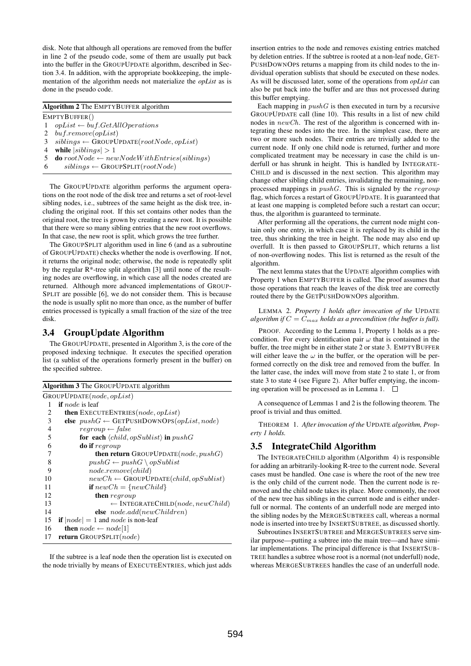disk. Note that although all operations are removed from the buffer in line 2 of the pseudo code, some of them are usually put back into the buffer in the GROUPUPDATE algorithm, described in Section 3.4. In addition, with the appropriate bookkeeping, the implementation of the algorithm needs not materialize the *opList* as is done in the pseudo code.

| <b>Algorithm 2</b> The EMPTYBUFFER algorithm |                                                             |  |
|----------------------------------------------|-------------------------------------------------------------|--|
| EMPTYBUFFER()                                |                                                             |  |
|                                              | $opList \leftarrow \text{buf}.GetAllOperations$             |  |
| 2                                            | buf.remove(opList)                                          |  |
| 3                                            | $sibling \leftarrow$ GROUPUPDATE(rootNode, opList)          |  |
| 4                                            | while $ sibling  > 1$                                       |  |
|                                              | <b>do</b> $rootNode \leftarrow newNodeWithEntries(sibling)$ |  |
| 6                                            | $sibling \leftarrow$ GROUPSPLIT( $rootNode$ )               |  |
|                                              |                                                             |  |

The GROUPUPDATE algorithm performs the argument operations on the root node of the disk tree and returns a set of root-level sibling nodes, i.e., subtrees of the same height as the disk tree, including the original root. If this set contains other nodes than the original root, the tree is grown by creating a new root. It is possible that there were so many sibling entries that the new root overflows. In that case, the new root is split, which grows the tree further.

The GROUPSPLIT algorithm used in line 6 (and as a subroutine of GROUPUPDATE) checks whether the node is overflowing. If not, it returns the original node; otherwise, the node is repeatedly split by the regular R\*-tree split algorithm [3] until none of the resulting nodes are overflowing, in which case all the nodes created are returned. Although more advanced implementations of GROUP-SPLIT are possible [6], we do not consider them. This is because the node is usually split no more than once, as the number of buffer entries processed is typically a small fraction of the size of the tree disk.

# 3.4 GroupUpdate Algorithm

The GROUPUPDATE, presented in Algorithm 3, is the core of the proposed indexing technique. It executes the specified operation list (a sublist of the operations formerly present in the buffer) on the specified subtree.

| GROUPUPDATE(node, opList)                                        |
|------------------------------------------------------------------|
| <b>if</b> node is leaf<br>1                                      |
| then EXECUTEENTRIES(node, opList)<br>2                           |
| 3<br>else $pushG \leftarrow \text{GETPUSHDOWNOPS}(opList, node)$ |
| 4<br>$recgroup \leftarrow false$                                 |
| 5<br>for each $\langle child, opSublist \rangle$ in $pushG$      |
| 6<br><b>do if</b> regroup                                        |
| 7<br><b>then return</b> GROUPUPDATE( <i>node</i> , $pushG$ )     |
| 8<br>$pushG \leftarrow pushG \setminus opSublist$                |
| $node$ .remove $\left( child\right)$<br>9                        |
| $newCh \leftarrow$ GROUPUPDATE( <i>child, opSublist</i> )<br>10  |
| <b>if</b> $newCh = \{newChild\}$<br>11                           |
| 12<br><b>then</b> regroup                                        |
| $\leftarrow$ INTEGRATECHILD(node, new Child)<br>13               |
| else $node.add(newChildren)$<br>14                               |
| <b>if</b> $ node  = 1$ and node is non-leaf<br>15                |
| <b>then</b> $node \leftarrow node[1]$<br>16                      |
| <b>return</b> GROUPSPLIT $(node)$<br>17                          |
|                                                                  |

If the subtree is a leaf node then the operation list is executed on the node trivially by means of EXECUTEENTRIES, which just adds insertion entries to the node and removes existing entries matched by deletion entries. If the subtree is rooted at a non-leaf node, GET-PUSHDOWNOPS returns a mapping from its child nodes to the individual operation sublists that should be executed on these nodes. As will be discussed later, some of the operations from *opList* can also be put back into the buffer and are thus not processed during this buffer emptying.

Each mapping in  $pushG$  is then executed in turn by a recursive GROUPUPDATE call (line 10). This results in a list of new child nodes in newCh. The rest of the algorithm is concerned with integrating these nodes into the tree. In the simplest case, there are two or more such nodes. Their entries are trivially added to the current node. If only one child node is returned, further and more complicated treatment may be necessary in case the child is underfull or has shrunk in height. This is handled by INTEGRATE-CHILD and is discussed in the next section. This algorithm may change other sibling child entries, invalidating the remaining, nonprocessed mappings in  $pushG$ . This is signaled by the regroup flag, which forces a restart of GROUPUPDATE. It is guaranteed that at least one mapping is completed before such a restart can occur; thus, the algorithm is guaranteed to terminate.

After performing all the operations, the current node might contain only one entry, in which case it is replaced by its child in the tree, thus shrinking the tree in height. The node may also end up overfull. It is then passed to GROUPSPLIT, which returns a list of non-overflowing nodes. This list is returned as the result of the algorithm.

The next lemma states that the UPDATE algorithm complies with Property 1 when EMPTYBUFFER is called. The proof assumes that those operations that reach the leaves of the disk tree are correctly routed there by the GETPUSHDOWNOPS algorithm.

LEMMA 2. *Property 1 holds after invocation of the* UPDATE *algorithm if*  $C = C_{max}$  *holds as a precondition (the buffer is full).* 

PROOF. According to the Lemma 1, Property 1 holds as a precondition. For every identification pair  $\omega$  that is contained in the buffer, the tree might be in either state 2 or state 3. EMPTYBUFFER will either leave the  $\omega$  in the buffer, or the operation will be performed correctly on the disk tree and removed from the buffer. In the latter case, the index will move from state 2 to state 1, or from state 3 to state 4 (see Figure 2). After buffer emptying, the incoming operation will be processed as in Lemma 1.  $\square$ 

A consequence of Lemmas 1 and 2 is the following theorem. The proof is trivial and thus omitted.

THEOREM 1. *After invocation of the* UPDATE *algorithm, Property 1 holds.*

# 3.5 IntegrateChild Algorithm

The INTEGRATECHILD algorithm (Algorithm 4) is responsible for adding an arbitrarily-looking R-tree to the current node. Several cases must be handled. One case is where the root of the new tree is the only child of the current node. Then the current node is removed and the child node takes its place. More commonly, the root of the new tree has siblings in the current node and is either underfull or normal. The contents of an underfull node are merged into the sibling nodes by the MERGESUBTREES call, whereas a normal node is inserted into tree by INSERTSUBTREE, as discussed shortly.

Subroutines INSERTSUBTREE and MERGESUBTREES serve similar purpose—putting a subtree into the main tree—and have similar implementations. The principal difference is that INSERTSUB-TREE handles a subtree whose root is a normal (not underfull) node, whereas MERGESUBTREES handles the case of an underfull node.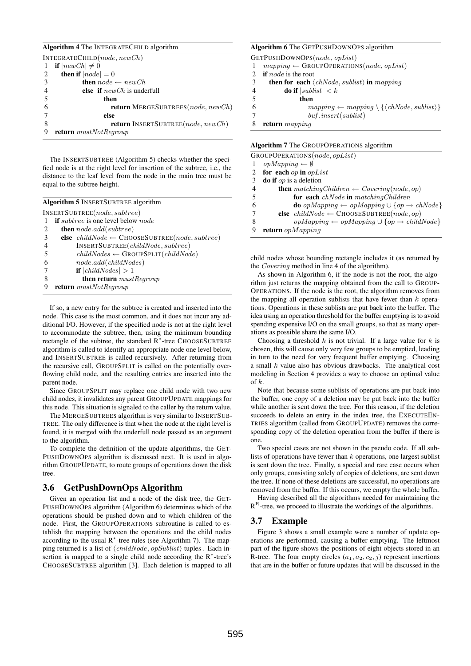#### Algorithm 4 The INTEGRATECHILD algorithm

|               | INTEGRATECHILD $(node, newCh)$                    |
|---------------|---------------------------------------------------|
|               | <b>if</b> $ newCh  \neq 0$                        |
| 2             | then if $ node  = 0$                              |
| $\mathcal{F}$ | <b>then</b> $node \leftarrow newCh$               |
|               | <b>else</b> if $newCh$ is underfull               |
|               | then                                              |
|               | <b>return</b> MERGESUBTREES( <i>node, newCh</i> ) |
|               | else                                              |
| 8             | <b>return</b> INSERTSUBTREE( <i>node, newCh</i> ) |
| 9             | <b>return</b> $mustNotRegroup$                    |

The INSERTSUBTREE (Algorithm 5) checks whether the specified node is at the right level for insertion of the subtree, i.e., the distance to the leaf level from the node in the main tree must be equal to the subtree height.

| <b>Algorithm 5</b> INSERTSUBTREE algorithm                                       |  |  |
|----------------------------------------------------------------------------------|--|--|
| INSERTSUBTREE(node, subtree)                                                     |  |  |
| <b>if</b> <i>subtree</i> is one level below <i>node</i><br>-1                    |  |  |
| <b>then</b> $node.add(subtree)$<br>2                                             |  |  |
| else $childNode \leftarrow \text{CHOOSESUBTREE}(node, subtree)$<br>$\mathcal{F}$ |  |  |
| INSERTSUBTREE(childNode, subtree)                                                |  |  |
| $childNodes \leftarrow$ GROUPSPLIT( $childNode$ )<br>-5                          |  |  |
| node.add(childNodes)<br>6                                                        |  |  |
| <b>if</b> $ childNodes  > 1$                                                     |  |  |
| <b>then return</b> $must Regroup$<br>8                                           |  |  |
| <b>return</b> $mustNotRegroup$<br>9                                              |  |  |
|                                                                                  |  |  |

If so, a new entry for the subtree is created and inserted into the node. This case is the most common, and it does not incur any additional I/O. However, if the specified node is not at the right level to accommodate the subtree, then, using the minimum bounding rectangle of the subtree, the standard R<sup>\*</sup>-tree CHOOSESUBTREE algorithm is called to identify an appropriate node one level below, and INSERTSUBTREE is called recursively. After returning from the recursive call, GROUPSPLIT is called on the potentially overflowing child node, and the resulting entries are inserted into the parent node.

Since GROUPSPLIT may replace one child node with two new child nodes, it invalidates any parent GROUPUPDATE mappings for this node. This situation is signaled to the caller by the return value.

The MERGESUBTREES algorithm is very similar to INSERTSUB-TREE. The only difference is that when the node at the right level is found, it is merged with the underfull node passed as an argument to the algorithm.

To complete the definition of the update algorithms, the GET-PUSHDOWNOPS algorithm is discussed next. It is used in algorithm GROUPUPDATE, to route groups of operations down the disk tree.

## 3.6 GetPushDownOps Algorithm

Given an operation list and a node of the disk tree, the GET-PUSHDOWNOPS algorithm (Algorithm 6) determines which of the operations should be pushed down and to which children of the node. First, the GROUPOPERATIONS subroutine is called to establish the mapping between the operations and the child nodes according to the usual  $R^*$ -tree rules (see Algorithm 7). The mapping returned is a list of  $\langle childNode, opSublist \rangle$  tuples . Each insertion is mapped to a single child node according the  $R^*$ -tree's CHOOSESUBTREE algorithm [3]. Each deletion is mapped to all

#### Algorithm 6 The GETPUSHDOWNOPS algorithm

GETPUSHDOWNOPS(node, opList)

- 1  $mapping \leftarrow \text{GROUPOPERATIONS}(node, opList)$
- 2 if *node* is the root<br>3 then for each  $\langle$
- 3 **then for each**  $\langle chNode, sublist \rangle$  in mapping<br>4 **do if**  $|sublist| < k$
- **do if**  $|sublist| < k$
- 5 then
- 6 mapping ← mapping \ {\chNode, sublist}}
- 7 buf .insert(sublist)
- 8 return mapping

|  |  | Algorithm 7 The GROUPOPERATIONS algorithm |  |
|--|--|-------------------------------------------|--|
|--|--|-------------------------------------------|--|

|   | GROUPOPERATIONS $(node, opList)$                                            |
|---|-----------------------------------------------------------------------------|
|   | $opMapping \leftarrow \emptyset$                                            |
|   | 2 for each $op$ in $opList$                                                 |
| 3 | <b>do if</b> $op$ is a deletion                                             |
| 4 | <b>then</b> matching Children $\leftarrow$ Covering (node, op)              |
| 5 | for each $chNode$ in matching Children                                      |
| 6 | <b>do</b> opMapping $\leftarrow$ opMapping $\cup$ {op $\rightarrow$ chNode} |
| 7 | else $childNode \leftarrow \text{CHOOSESUBTREE}(node, op)$                  |
| 8 | $opMapping \leftarrow opMapping \cup \{op \rightarrow childNode\}$          |
|   | <b>return</b> $opMaping$                                                    |

child nodes whose bounding rectangle includes it (as returned by the Covering method in line 4 of the algorithm).

As shown in Algorithm 6, if the node is not the root, the algorithm just returns the mapping obtained from the call to GROUP-OPERATIONS. If the node is the root, the algorithm removes from the mapping all operation sublists that have fewer than  $k$  operations. Operations in these sublists are put back into the buffer. The idea using an operation threshold for the buffer emptying is to avoid spending expensive I/O on the small groups, so that as many operations as possible share the same I/O.

Choosing a threshold  $k$  is not trivial. If a large value for  $k$  is chosen, this will cause only very few groups to be emptied, leading in turn to the need for very frequent buffer emptying. Choosing a small  $k$  value also has obvious drawbacks. The analytical cost modeling in Section 4 provides a way to choose an optimal value of  $k$ .

Note that because some sublists of operations are put back into the buffer, one copy of a deletion may be put back into the buffer while another is sent down the tree. For this reason, if the deletion succeeds to delete an entry in the index tree, the EXECUTEEN-TRIES algorithm (called from GROUPUPDATE) removes the corresponding copy of the deletion operation from the buffer if there is one.

Two special cases are not shown in the pseudo code. If all sublists of operations have fewer than  $k$  operations, one largest sublist is sent down the tree. Finally, a special and rare case occurs when only groups, consisting solely of copies of deletions, are sent down the tree. If none of these deletions are successful, no operations are removed from the buffer. If this occurs, we empty the whole buffer.

Having described all the algorithms needed for maintaining the  $R<sup>R</sup>$ -tree, we proceed to illustrate the workings of the algorithms.

#### 3.7 Example

Figure 3 shows a small example were a number of update operations are performed, causing a buffer emptying. The leftmost part of the figure shows the positions of eight objects stored in an R-tree. The four empty circles  $(a_1, a_2, c_2, j)$  represent insertions that are in the buffer or future updates that will be discussed in the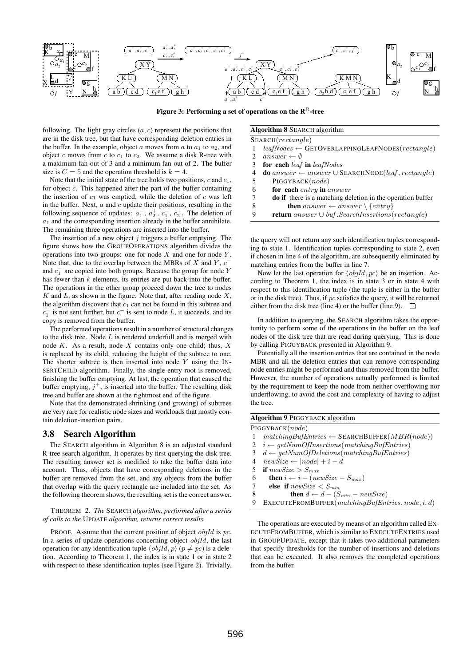

Figure 3: Performing a set of operations on the  $\mathbf{R}^{\text{R}}$ -tree

following. The light gray circles  $(a, c)$  represent the positions that are in the disk tree, but that have corresponding deletion entries in the buffer. In the example, object a moves from a to  $a_1$  to  $a_2$ , and object c moves from c to  $c_1$  to  $c_2$ . We assume a disk R-tree with a maximum fan-out of 3 and a minimum fan-out of 2. The buffer size is  $C = 5$  and the operation threshold is  $k = 4$ .

Note that the initial state of the tree holds two positions,  $c$  and  $c_1$ , for object  $c$ . This happened after the part of the buffer containing the insertion of  $c_1$  was emptied, while the deletion of  $c$  was left in the buffer. Next,  $a$  and  $c$  update their positions, resulting in the following sequence of updates:  $a_1^-, a_2^+, c_1^-, c_2^+$ . The deletion of  $a_1$  and the corresponding insertion already in the buffer annihilate. The remaining three operations are inserted into the buffer.

The insertion of a new object  $j$  triggers a buffer emptying. The figure shows how the GROUPOPERATIONS algorithm divides the operations into two groups: one for node  $X$  and one for node  $Y$ . Note that, due to the overlap between the MBRs of  $X$  and  $Y, c^$ and  $c_1^-$  are copied into both groups. Because the group for node Y has fewer than  $k$  elements, its entries are put back into the buffer. The operations in the other group proceed down the tree to nodes  $K$  and  $L$ , as shown in the figure. Note that, after reading node  $X$ , the algorithm discovers that  $c_1$  can not be found in this subtree and  $c_1^-$  is not sent further, but  $c^-$  is sent to node L, it succeeds, and its copy is removed from the buffer.

The performed operations result in a number of structural changes to the disk tree. Node  $L$  is rendered underfull and is merged with node  $K$ . As a result, node  $X$  contains only one child; thus,  $X$ is replaced by its child, reducing the height of the subtree to one. The shorter subtree is then inserted into node  $Y$  using the IN-SERTCHILD algorithm. Finally, the single-entry root is removed, finishing the buffer emptying. At last, the operation that caused the buffer emptying,  $j^{+}$ , is inserted into the buffer. The resulting disk tree and buffer are shown at the rightmost end of the figure.

Note that the demonstrated shrinking (and growing) of subtrees are very rare for realistic node sizes and workloads that mostly contain deletion-insertion pairs.

#### 3.8 Search Algorithm

The SEARCH algorithm in Algorithm 8 is an adjusted standard R-tree search algorithm. It operates by first querying the disk tree. The resulting answer set is modified to take the buffer data into account. Thus, objects that have corresponding deletions in the buffer are removed from the set, and any objects from the buffer that overlap with the query rectangle are included into the set. As the following theorem shows, the resulting set is the correct answer.

THEOREM 2. *The* SEARCH *algorithm, performed after a series of calls to the* UPDATE *algorithm, returns correct results.*

PROOF. Assume that the current position of object objId is pc. In a series of update operations concerning object objId, the last operation for any identification tuple  $\langle objId, p \rangle$  ( $p \neq pc$ ) is a deletion. According to Theorem 1, the index is in state 1 or in state 2 with respect to these identification tuples (see Figure 2). Trivially,

Algorithm 8 SEARCH algorithm

- SEARCH(rectangle) 1  $leafNodes \leftarrow \text{GETOVERLAPPINGLEAFNODES}(rectangle)$
- 2 answer  $\leftarrow \emptyset$
- 3 for each leaf in leafNodes
- 4 **do** answer ← answer  $\cup$  SEARCHNODE(leaf, rectangle)
- 5 PIGGYBACK(node)
- 6 **for each** entry in answer
- 7 do if there is a matching deletion in the operation buffer
- 8 **then** answer  $\leftarrow$  answer  $\{entry\}$ <br>9 **return** answer  $\left| \right\rangle$  by *Search Insertions*
- 9 return answer ∪ buf .SearchInsertions(rectangle)

the query will not return any such identification tuples corresponding to state 1. Identification tuples corresponding to state 2, even if chosen in line 4 of the algorithm, are subsequently eliminated by matching entries from the buffer in line 7.

Now let the last operation for  $\langle \text{objId}, \text{pc} \rangle$  be an insertion. According to Theorem 1, the index is in state 3 or in state 4 with respect to this identification tuple (the tuple is either in the buffer or in the disk tree). Thus, if  $pc$  satisfies the query, it will be returned either from the disk tree (line 4) or the buffer (line 9).  $\Box$ 

In addition to querying, the SEARCH algorithm takes the opportunity to perform some of the operations in the buffer on the leaf nodes of the disk tree that are read during querying. This is done by calling PIGGYBACK presented in Algorithm 9.

Potentially all the insertion entries that are contained in the node MBR and all the deletion entries that can remove corresponding node entries might be performed and thus removed from the buffer. However, the number of operations actually performed is limited by the requirement to keep the node from neither overflowing nor underflowing, to avoid the cost and complexity of having to adjust the tree.

|   | <b>Algorithm 9 PIGGYBACK algorithm</b>                           |
|---|------------------------------------------------------------------|
|   | PIGGYBACK(node)                                                  |
|   | $matchingBuffer tries \leftarrow \text{SEARCHBuffer}(MBR(node))$ |
|   | 2 $i \leftarrow getNumOfInsertions(matchingBuffertries)$         |
| 3 | $d \leftarrow getNumOfDeletions(matchingBuffertries)$            |
| 4 | $newSize \leftarrow  node  + i - d$                              |
|   | 5 if $newSize > S_{max}$                                         |

| 6 | <b>then</b> $i \leftarrow i - (newSize - S_{max})$       |
|---|----------------------------------------------------------|
| 7 | <b>else</b> if $newSize < S_{min}$                       |
| 8 | <b>then</b> $d \leftarrow d - (S_{min} - newSize)$       |
|   | 9 EXECUTEFROMBUFFER $(matchingBuffer tries, node, i, d)$ |
|   |                                                          |

The operations are executed by means of an algorithm called EX-ECUTEFROMBUFFER, which is similar to EXECUTEENTRIES used in GROUPUPDATE, except that it takes two additional parameters that specify thresholds for the number of insertions and deletions that can be executed. It also removes the completed operations from the buffer.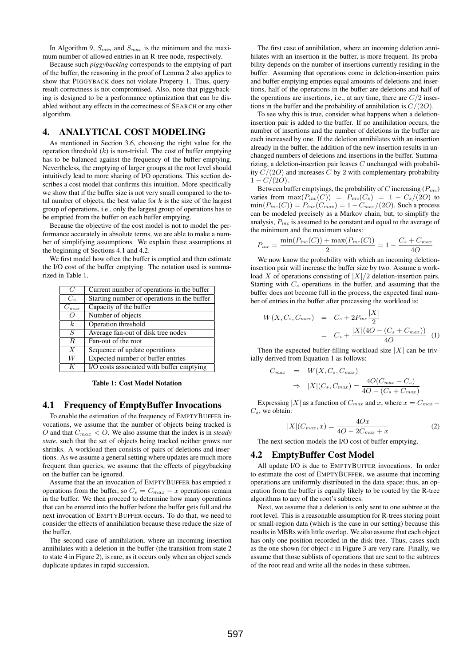In Algorithm 9,  $S_{min}$  and  $S_{max}$  is the minimum and the maximum number of allowed entries in an R-tree node, respectively.

Because such *piggybacking* corresponds to the emptying of part of the buffer, the reasoning in the proof of Lemma 2 also applies to show that PIGGYBACK does not violate Property 1. Thus, queryresult correctness is not compromised. Also, note that piggybacking is designed to be a performance optimization that can be disabled without any effects in the correctness of SEARCH or any other algorithm.

# 4. ANALYTICAL COST MODELING

As mentioned in Section 3.6, choosing the right value for the operation threshold  $(k)$  is non-trivial. The cost of buffer emptying has to be balanced against the frequency of the buffer emptying. Nevertheless, the emptying of larger groups at the root level should intuitively lead to more sharing of I/O operations. This section describes a cost model that confirms this intuition. More specifically we show that if the buffer size is not very small compared to the total number of objects, the best value for  $k$  is the size of the largest group of operations, i.e., only the largest group of operations has to be emptied from the buffer on each buffer emptying.

Because the objective of the cost model is not to model the performance accurately in absolute terms, we are able to make a number of simplifying assumptions. We explain these assumptions at the beginning of Sections 4.1 and 4.2.

We first model how often the buffer is emptied and then estimate the I/O cost of the buffer emptying. The notation used is summarized in Table 1.

| $\overline{C}$   | Current number of operations in the buffer  |  |
|------------------|---------------------------------------------|--|
| $C_{s}$          | Starting number of operations in the buffer |  |
| $C_{max}$        | Capacity of the buffer                      |  |
|                  | Number of objects                           |  |
| k <sub>i</sub>   | Operation threshold                         |  |
| S                | Average fan-out of disk tree nodes          |  |
| $\boldsymbol{R}$ | Fan-out of the root                         |  |
| $\boldsymbol{X}$ | Sequence of update operations               |  |
| W                | Expected number of buffer entries           |  |
| K                | I/O costs associated with buffer emptying   |  |

Table 1: Cost Model Notation

# 4.1 Frequency of EmptyBuffer Invocations

To enable the estimation of the frequency of EMPTYBUFFER invocations, we assume that the number of objects being tracked is O and that  $C_{max} < 0$ . We also assume that the index is in *steady state*, such that the set of objects being tracked neither grows nor shrinks. A workload then consists of pairs of deletions and insertions. As we assume a general setting where updates are much more frequent than queries, we assume that the effects of piggybacking on the buffer can be ignored.

Assume that the an invocation of EMPTYBUFFER has emptied  $x$ operations from the buffer, so  $C_s = C_{max} - x$  operations remain in the buffer. We then proceed to determine how many operations that can be entered into the buffer before the buffer gets full and the next invocation of EMPTYBUFFER occurs. To do that, we need to consider the effects of annihilation because these reduce the size of the buffer.

The second case of annihilation, where an incoming insertion annihilates with a deletion in the buffer (the transition from state 2 to state 4 in Figure 2), is rare, as it occurs only when an object sends duplicate updates in rapid succession.

The first case of annihilation, where an incoming deletion annihilates with an insertion in the buffer, is more frequent. Its probability depends on the number of insertions currently residing in the buffer. Assuming that operations come in deletion-insertion pairs and buffer emptying empties equal amounts of deletions and insertions, half of the operations in the buffer are deletions and half of the operations are insertions, i.e., at any time, there are  $C/2$  insertions in the buffer and the probability of annihilation is  $C/(2O)$ .

To see why this is true, consider what happens when a deletioninsertion pair is added to the buffer. If no annihilation occurs, the number of insertions and the number of deletions in the buffer are each increased by one. If the deletion annihilates with an insertion already in the buffer, the addition of the new insertion results in unchanged numbers of deletions and insertions in the buffer. Summarizing, a deletion-insertion pair leaves C unchanged with probability  $C/(2O)$  and increases C by 2 with complementary probability  $1 - C/(2O)$ .

Between buffer emptyings, the probability of C increasing  $(P_{inc})$ varies from  $\max(P_{inc}(C)) = P_{inc}(C_s) = 1 - C_s/(2O)$  to  $min(P_{inc}(C)) = P_{inc}(C_{max}) = 1 - C_{max}/(2O)$ . Such a process can be modeled precisely as a Markov chain, but, to simplify the analysis,  $P_{inc}$  is assumed to be constant and equal to the average of the minimum and the maximum values:

$$
P_{inc} = \frac{\min(P_{inc}(C)) + \max(P_{inc}(C))}{2} = 1 - \frac{C_s + C_{max}}{40}
$$

We now know the probability with which an incoming deletioninsertion pair will increase the buffer size by two. Assume a workload X of operations consisting of  $|X|/2$  deletion-insertion pairs. Starting with  $C_s$  operations in the buffer, and assuming that the buffer does not become full in the process, the expected final number of entries in the buffer after processing the workload is:

$$
W(X, C_s, C_{max}) = C_s + 2P_{inc} \frac{|X|}{2}
$$
  
=  $C_s + \frac{|X|(4O - (C_s + C_{max}))}{4O}$  (1)

Then the expected buffer-filling workload size  $|X|$  can be trivially derived from Equation 1 as follows:

$$
C_{max} = W(X, C_s, C_{max})
$$
  
\n
$$
\Rightarrow |X|(C_s, C_{max}) = \frac{4O(C_{max} - C_s)}{4O - (C_s + C_{max})}
$$

Expressing |X| as a function of  $C_{max}$  and x, where  $x = C_{max} C_s$ , we obtain:

$$
|X|(C_{max},x) = \frac{4Ox}{4O - 2C_{max} + x}
$$
 (2)

The next section models the I/O cost of buffer emptying.

### 4.2 EmptyBuffer Cost Model

All update I/O is due to EMPTYBUFFER invocations. In order to estimate the cost of EMPTYBUFFER, we assume that incoming operations are uniformly distributed in the data space; thus, an operation from the buffer is equally likely to be routed by the R-tree algorithms to any of the root's subtrees.

Next, we assume that a deletion is only sent to one subtree at the root level. This is a reasonable assumption for R-trees storing point or small-region data (which is the case in our setting) because this results in MBRs with little overlap. We also assume that each object has only one position recorded in the disk tree. Thus, cases such as the one shown for object  $c$  in Figure 3 are very rare. Finally, we assume that those sublists of operations that are sent to the subtrees of the root read and write all the nodes in these subtrees.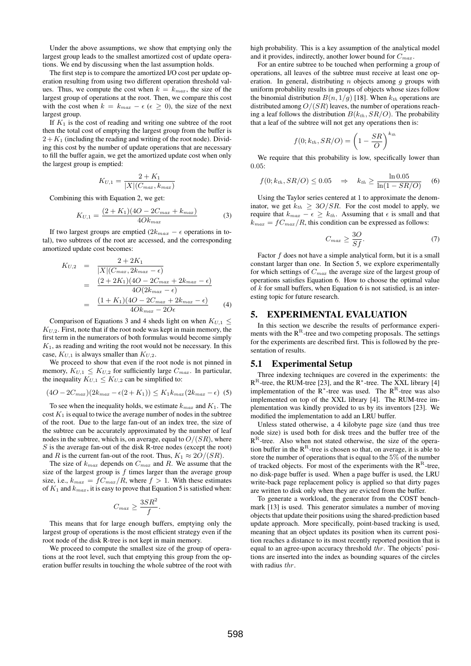Under the above assumptions, we show that emptying only the largest group leads to the smallest amortized cost of update operations. We end by discussing when the last assumption holds.

The first step is to compare the amortized I/O cost per update operation resulting from using two different operation threshold values. Thus, we compute the cost when  $k = k_{max}$ , the size of the largest group of operations at the root. Then, we compare this cost with the cost when  $k = k_{max} - \epsilon \ (\epsilon \geq 0)$ , the size of the next largest group.

If  $K_1$  is the cost of reading and writing one subtree of the root then the total cost of emptying the largest group from the buffer is  $2+K_1$  (including the reading and writing of the root node). Dividing this cost by the number of update operations that are necessary to fill the buffer again, we get the amortized update cost when only the largest group is emptied:

$$
K_{U,1} = \frac{2 + K_1}{|X|(C_{max}, k_{max})}
$$

Combining this with Equation 2, we get:

$$
K_{U,1} = \frac{(2+K_1)(4O - 2C_{max} + k_{max})}{4Ok_{max}} \tag{3}
$$

If two largest groups are emptied  $(2k_{max} - \epsilon)$  operations in total), two subtrees of the root are accessed, and the corresponding amortized update cost becomes:

$$
K_{U,2} = \frac{2 + 2K_1}{|X|(C_{max}, 2k_{max} - \epsilon)}
$$
  
= 
$$
\frac{(2 + 2K_1)(40 - 2C_{max} + 2k_{max} - \epsilon)}{4O(2k_{max} - \epsilon)}
$$
  
= 
$$
\frac{(1 + K_1)(40 - 2C_{max} + 2k_{max} - \epsilon)}{4Ok_{max} - 2O\epsilon}
$$
(4)

Comparison of Equations 3 and 4 sheds light on when  $K_{U,1} \leq$  $K_{U,2}$ . First, note that if the root node was kept in main memory, the first term in the numerators of both formulas would become simply  $K<sub>1</sub>$ , as reading and writing the root would not be necessary. In this case,  $K_{U,1}$  is always smaller than  $K_{U,2}$ .

We proceed to show that even if the root node is not pinned in memory,  $K_{U,1} \leq K_{U,2}$  for sufficiently large  $C_{max}$ . In particular, the inequality  $K_{U,1} \leq K_{U,2}$  can be simplified to:

$$
(4O - 2C_{max})(2k_{max} - \epsilon(2 + K_1)) \leq K_1 k_{max}(2k_{max} - \epsilon)
$$
 (5)

To see when the inequality holds, we estimate  $k_{max}$  and  $K_1$ . The cost  $K_1$  is equal to twice the average number of nodes in the subtree of the root. Due to the large fan-out of an index tree, the size of the subtree can be accurately approximated by the number of leaf nodes in the subtree, which is, on average, equal to  $O/(SR)$ , where S is the average fan-out of the disk R-tree nodes (except the root) and R is the current fan-out of the root. Thus,  $K_1 \approx 2O/(SR)$ .

The size of  $k_{max}$  depends on  $C_{max}$  and R. We assume that the size of the largest group is  $f$  times larger than the average group size, i.e.,  $k_{max} = fC_{max}/R$ , where  $f > 1$ . With these estimates of  $K_1$  and  $k_{max}$ , it is easy to prove that Equation 5 is satisfied when:

$$
C_{max} \ge \frac{3SR^2}{f}.
$$

This means that for large enough buffers, emptying only the largest group of operations is the most efficient strategy even if the root node of the disk R-tree is not kept in main memory.

We proceed to compute the smallest size of the group of operations at the root level, such that emptying this group from the operation buffer results in touching the whole subtree of the root with high probability. This is a key assumption of the analytical model and it provides, indirectly, another lower bound for  $C_{max}$ .

For an entire subtree to be touched when performing a group of operations, all leaves of the subtree must receive at least one operation. In general, distributing  $n$  objects among  $q$  groups with uniform probability results in groups of objects whose sizes follow the binomial distribution  $B(n, 1/g)$  [18]. When  $k_{th}$  operations are distributed among  $O/(SR)$  leaves, the number of operations reaching a leaf follows the distribution  $B(k_{th}, SR/O)$ . The probability that a leaf of the subtree will not get any operations then is:

$$
f(0; k_{th}, SR/O) = \left(1 - \frac{SR}{O}\right)^{k_{th}}
$$

We require that this probability is low, specifically lower than 0.05:

$$
f(0; k_{th}, SR/O) \le 0.05 \quad \Rightarrow \quad k_{th} \ge \frac{\ln 0.05}{\ln(1 - SR/O)} \tag{6}
$$

Using the Taylor series centered at 1 to approximate the denominator, we get  $k_{th} \geq 3O/SR$ . For the cost model to apply, we require that  $k_{max} - \epsilon \geq k_{th}$ . Assuming that  $\epsilon$  is small and that  $k_{max} = fC_{max}/R$ , this condition can be expressed as follows:

$$
C_{max} \ge \frac{3O}{Sf}.\tag{7}
$$

Factor  $f$  does not have a simple analytical form, but it is a small constant larger than one. In Section 5, we explore experimentally for which settings of  $C_{max}$  the average size of the largest group of operations satisfies Equation 6. How to choose the optimal value of  $k$  for small buffers, when Equation 6 is not satisfied, is an interesting topic for future research.

### 5. EXPERIMENTAL EVALUATION

In this section we describe the results of performance experiments with the  ${\rm R}^{\rm R}$  -tree and two competing proposals. The settings for the experiments are described first. This is followed by the presentation of results.

#### 5.1 Experimental Setup

Three indexing techniques are covered in the experiments: the  $R^R$ -tree, the RUM-tree [23], and the R<sup>\*</sup>-tree. The XXL library [4] implementation of the  $R^*$ -tree was used. The  $R^R$ -tree was also implemented on top of the XXL library [4]. The RUM-tree implementation was kindly provided to us by its inventors [23]. We modified the implementation to add an LRU buffer.

Unless stated otherwise, a 4 kilobyte page size (and thus tree node size) is used both for disk trees and the buffer tree of the  $R<sup>R</sup>$ -tree. Also when not stated otherwise, the size of the operation buffer in the  $R^R$ -tree is chosen so that, on average, it is able to store the number of operations that is equal to the 5% of the number of tracked objects. For most of the experiments with the  $R^R$ -tree, no disk-page buffer is used. When a page buffer is used, the LRU write-back page replacement policy is applied so that dirty pages are written to disk only when they are evicted from the buffer.

To generate a workload, the generator from the COST benchmark [13] is used. This generator simulates a number of moving objects that update their positions using the shared-prediction based update approach. More specifically, point-based tracking is used, meaning that an object updates its position when its current position reaches a distance to its most recently reported position that is equal to an agree-upon accuracy threshold thr. The objects' positions are inserted into the index as bounding squares of the circles with radius thr.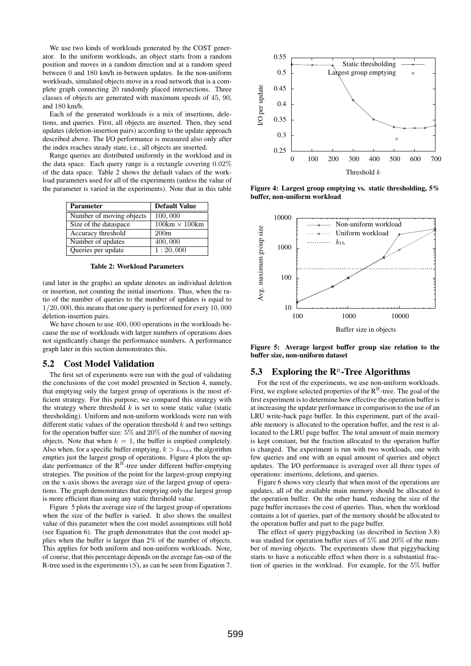We use two kinds of workloads generated by the COST generator. In the uniform workloads, an object starts from a random position and moves in a random direction and at a random speed between 0 and 180 km/h in-between updates. In the non-uniform workloads, simulated objects move in a road network that is a complete graph connecting 20 randomly placed intersections. Three classes of objects are generated with maximum speeds of 45, 90, and 180 km/h.

Each of the generated workloads is a mix of insertions, deletions, and queries. First, all objects are inserted. Then, they send updates (deletion-insertion pairs) according to the update approach described above. The I/O performance is measured also only after the index reaches steady state, i.e., all objects are inserted.

Range queries are distributed uniformly in the workload and in the data space. Each query range is a rectangle covering 0.02% of the data space. Table 2 shows the default values of the workload parameters used for all of the experiments (unless the value of the parameter is varied in the experiments). Note that in this table

| <b>Parameter</b>         | Default Value        |
|--------------------------|----------------------|
| Number of moving objects | 100,000              |
| Size of the dataspace    | $100km \times 100km$ |
| Accuracy threshold       | 200m                 |
| Number of updates        | 400,000              |
| Queries per update       | 1:20,000             |

Table 2: Workload Parameters

(and later in the graphs) an update denotes an individual deletion or insertion, not counting the initial insertions. Thus, when the ratio of the number of queries to the number of updates is equal to 1/20, 000, this means that one query is performed for every 10, 000 deletion-insertion pairs.

We have chosen to use 400, 000 operations in the workloads because the use of workloads with larger numbers of operations does not significantly change the performance numbers. A performance graph later in this section demonstrates this.

### 5.2 Cost Model Validation

The first set of experiments were run with the goal of validating the conclusions of the cost model presented in Section 4, namely, that emptying only the largest group of operations is the most efficient strategy. For this purpose, we compared this strategy with the strategy where threshold  $k$  is set to some static value (static thresholding). Uniform and non-uniform workloads were run with different static values of the operation threshold  $k$  and two settings for the operation buffer size: 5% and 20% of the number of moving objects. Note that when  $k = 1$ , the buffer is emptied completely. Also when, for a specific buffer emptying,  $k > k_{max}$  the algorithm empties just the largest group of operations. Figure 4 plots the update performance of the  $R^R$ -tree under different buffer-emptying strategies. The position of the point for the largest-group emptying on the x-axis shows the average size of the largest group of operations. The graph demonstrates that emptying only the largest group is more efficient than using any static threshold value.

Figure 5 plots the average size of the largest group of operations when the size of the buffer is varied. It also shows the smallest value of this parameter when the cost model assumptions still hold (see Equation 6). The graph demonstrates that the cost model applies when the buffer is larger than 2% of the number of objects. This applies for both uniform and non-uniform workloads. Note, of course, that this percentage depends on the average fan-out of the R-tree used in the experiments  $(S)$ , as can be seen from Equation 7.



Figure 4: Largest group emptying vs. static thresholding, 5% buffer, non-uniform workload



Figure 5: Average largest buffer group size relation to the buffer size, non-uniform dataset

# 5.3 Exploring the  $\mathbb{R}^n$ -Tree Algorithms

For the rest of the experiments, we use non-uniform workloads. First, we explore selected properties of the  $R^R$ -tree. The goal of the first experiment is to determine how effective the operation buffer is at increasing the update performance in comparison to the use of an LRU write-back page buffer. In this experiment, part of the available memory is allocated to the operation buffer, and the rest is allocated to the LRU page buffer. The total amount of main memory is kept constant, but the fraction allocated to the operation buffer is changed. The experiment is run with two workloads, one with few queries and one with an equal amount of queries and object updates. The I/O performance is averaged over all three types of operations: insertions, deletions, and queries.

Figure 6 shows very clearly that when most of the operations are updates, all of the available main memory should be allocated to the operation buffer. On the other hand, reducing the size of the page buffer increases the cost of queries. Thus, when the workload contains a lot of queries, part of the memory should be allocated to the operation buffer and part to the page buffer.

The effect of query piggybacking (as described in Section 3.8) was studied for operation buffer sizes of 5% and 20% of the number of moving objects. The experiments show that piggybacking starts to have a noticeable effect when there is a substantial fraction of queries in the workload. For example, for the 5% buffer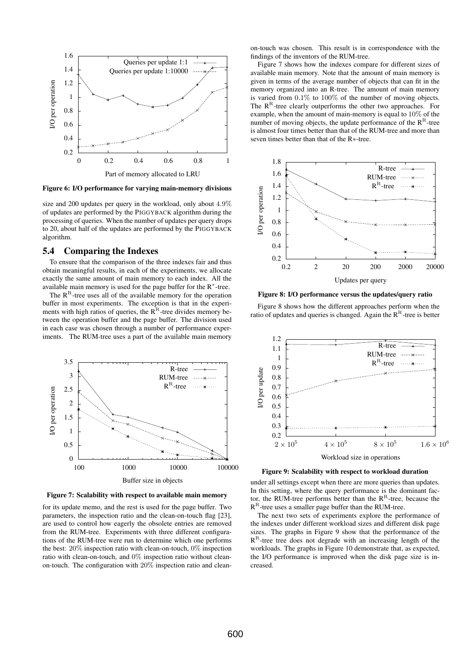

Figure 6: I/O performance for varying main-memory divisions

size and 200 updates per query in the workload, only about 4.9% of updates are performed by the PIGGYBACK algorithm during the processing of queries. When the number of updates per query drops to 20, about half of the updates are performed by the PIGGYBACK algorithm.

#### 5.4 Comparing the Indexes

To ensure that the comparison of the three indexes fair and thus obtain meaningful results, in each of the experiments, we allocate exactly the same amount of main memory to each index. All the available main memory is used for the page buffer for the R<sup>∗</sup> -tree.

The  $R<sup>R</sup>$ -tree uses all of the available memory for the operation buffer in most experiments. The exception is that in the experiments with high ratios of queries, the  $R<sup>R</sup>$ -tree divides memory between the operation buffer and the page buffer. The division used in each case was chosen through a number of performance experiments. The RUM-tree uses a part of the available main memory





for its update memo, and the rest is used for the page buffer. Two parameters, the inspection ratio and the clean-on-touch flag [23], are used to control how eagerly the obsolete entries are removed from the RUM-tree. Experiments with three different configurations of the RUM-tree were run to determine which one performs the best: 20% inspection ratio with clean-on-touch, 0% inspection ratio with clean-on-touch, and 0% inspection ratio without cleanon-touch. The configuration with 20% inspection ratio and clean-

on-touch was chosen. This result is in correspondence with the findings of the inventors of the RUM-tree.

Figure 7 shows how the indexes compare for different sizes of available main memory. Note that the amount of main memory is given in terms of the average number of objects that can fit in the memory organized into an R-tree. The amount of main memory is varied from 0.1% to 100% of the number of moving objects. The  $R<sup>R</sup>$ -tree clearly outperforms the other two approaches. For example, when the amount of main-memory is equal to 10% of the number of moving objects, the update performance of the  $\mathbb{R}^{\mathbb{R}}$ -tree is almost four times better than that of the RUM-tree and more than seven times better than that of the R∗-tree.



Figure 8: I/O performance versus the updates/query ratio

Figure 8 shows how the different approaches perform when the ratio of updates and queries is changed. Again the  $R<sup>R</sup>$ -tree is better



Figure 9: Scalability with respect to workload duration

under all settings except when there are more queries than updates. In this setting, where the query performance is the dominant factor, the RUM-tree performs better than the  $R^R$ -tree, because the  $R^R$ -tree uses a smaller page buffer than the RUM-tree.

The next two sets of experiments explore the performance of the indexes under different workload sizes and different disk page sizes. The graphs in Figure 9 show that the performance of the  $R<sup>R</sup>$ -tree tree does not degrade with an increasing length of the workloads. The graphs in Figure 10 demonstrate that, as expected, the I/O performance is improved when the disk page size is increased.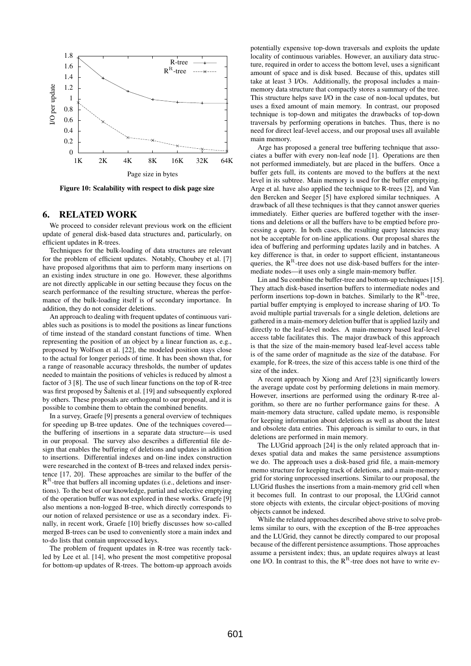

Figure 10: Scalability with respect to disk page size

# 6. RELATED WORK

We proceed to consider relevant previous work on the efficient update of general disk-based data structures and, particularly, on efficient updates in R-trees.

Techniques for the bulk-loading of data structures are relevant for the problem of efficient updates. Notably, Choubey et al. [7] have proposed algorithms that aim to perform many insertions on an existing index structure in one go. However, these algorithms are not directly applicable in our setting because they focus on the search performance of the resulting structure, whereas the performance of the bulk-loading itself is of secondary importance. In addition, they do not consider deletions.

An approach to dealing with frequent updates of continuous variables such as positions is to model the positions as linear functions of time instead of the standard constant functions of time. When representing the position of an object by a linear function as, e.g., proposed by Wolfson et al. [22], the modeled position stays close to the actual for longer periods of time. It has been shown that, for a range of reasonable accuracy thresholds, the number of updates needed to maintain the positions of vehicles is reduced by almost a factor of 3 [8]. The use of such linear functions on the top of R-tree was first proposed by Saltenis et al. [19] and subsequently explored by others. These proposals are orthogonal to our proposal, and it is possible to combine them to obtain the combined benefits.

In a survey, Graefe [9] presents a general overview of techniques for speeding up B-tree updates. One of the techniques coveredthe buffering of insertions in a separate data structure—is used in our proposal. The survey also describes a differential file design that enables the buffering of deletions and updates in addition to insertions. Differential indexes and on-line index construction were researched in the context of B-trees and relaxed index persistence [17, 20]. These approaches are similar to the buffer of the  $R<sup>R</sup>$ -tree that buffers all incoming updates (i.e., deletions and insertions). To the best of our knowledge, partial and selective emptying of the operation buffer was not explored in these works. Graefe [9] also mentions a non-logged B-tree, which directly corresponds to our notion of relaxed persistence or use as a secondary index. Finally, in recent work, Graefe [10] briefly discusses how so-called merged B-trees can be used to conveniently store a main index and to-do lists that contain unprocessed keys.

The problem of frequent updates in R-tree was recently tackled by Lee et al. [14], who present the most competitive proposal for bottom-up updates of R-trees. The bottom-up approach avoids

potentially expensive top-down traversals and exploits the update locality of continuous variables. However, an auxiliary data structure, required in order to access the bottom level, uses a significant amount of space and is disk based. Because of this, updates still take at least 3 I/Os. Additionally, the proposal includes a mainmemory data structure that compactly stores a summary of the tree. This structure helps save I/O in the case of non-local updates, but uses a fixed amount of main memory. In contrast, our proposed technique is top-down and mitigates the drawbacks of top-down traversals by performing operations in batches. Thus, there is no need for direct leaf-level access, and our proposal uses all available main memory.

Arge has proposed a general tree buffering technique that associates a buffer with every non-leaf node [1]. Operations are then not performed immediately, but are placed in the buffers. Once a buffer gets full, its contents are moved to the buffers at the next level in its subtree. Main memory is used for the buffer emptying. Arge et al. have also applied the technique to R-trees [2], and Van den Bercken and Seeger [5] have explored similar techniques. A drawback of all these techniques is that they cannot answer queries immediately. Either queries are buffered together with the insertions and deletions or all the buffers have to be emptied before processing a query. In both cases, the resulting query latencies may not be acceptable for on-line applications. Our proposal shares the idea of buffering and performing updates lazily and in batches. A key difference is that, in order to support efficient, instantaneous queries, the  $R<sup>R</sup>$ -tree does not use disk-based buffers for the intermediate nodes—it uses only a single main-memory buffer.

Lin and Su combine the buffer-tree and bottom-up techniques [15]. They attach disk-based insertion buffers to intermediate nodes and perform insertions top-down in batches. Similarly to the  $R^R$ -tree, partial buffer emptying is employed to increase sharing of I/O. To avoid multiple partial traversals for a single deletion, deletions are gathered in a main-memory deletion buffer that is applied lazily and directly to the leaf-level nodes. A main-memory based leaf-level access table facilitates this. The major drawback of this approach is that the size of the main-memory based leaf-level access table is of the same order of magnitude as the size of the database. For example, for R-trees, the size of this access table is one third of the size of the index.

A recent approach by Xiong and Aref [23] significantly lowers the average update cost by performing deletions in main memory. However, insertions are performed using the ordinary R-tree algorithm, so there are no further performance gains for these. A main-memory data structure, called update memo, is responsible for keeping information about deletions as well as about the latest and obsolete data entries. This approach is similar to ours, in that deletions are performed in main memory.

The LUGrid approach [24] is the only related approach that indexes spatial data and makes the same persistence assumptions we do. The approach uses a disk-based grid file, a main-memory memo structure for keeping track of deletions, and a main-memory grid for storing unprocessed insertions. Similar to our proposal, the LUGrid flushes the insertions from a main-memory grid cell when it becomes full. In contrast to our proposal, the LUGrid cannot store objects with extents, the circular object-positions of moving objects cannot be indexed.

While the related approaches described above strive to solve problems similar to ours, with the exception of the B-tree approaches and the LUGrid, they cannot be directly compared to our proposal because of the different persistence assumptions. Those approaches assume a persistent index; thus, an update requires always at least one I/O. In contrast to this, the  $R^R$ -tree does not have to write ev